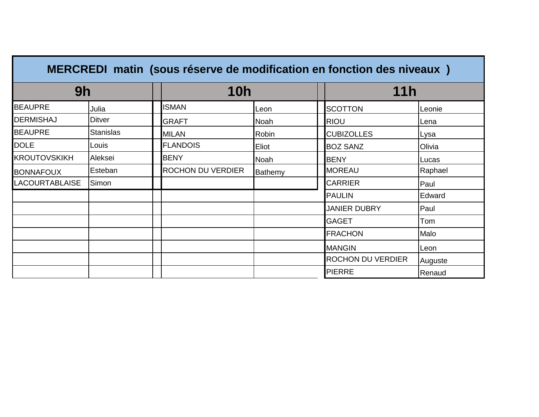| MERCREDI matin (sous réserve de modification en fonction des niveaux) |                  |  |                          |         |  |                     |         |
|-----------------------------------------------------------------------|------------------|--|--------------------------|---------|--|---------------------|---------|
| 9h                                                                    |                  |  | <b>10h</b>               |         |  | <b>11h</b>          |         |
| <b>BEAUPRE</b>                                                        | Julia            |  | <b>ISMAN</b>             | Leon    |  | <b>SCOTTON</b>      | Leonie  |
| <b>DERMISHAJ</b>                                                      | Ditver           |  | <b>GRAFT</b>             | Noah    |  | <b>RIOU</b>         | Lena    |
| <b>BEAUPRE</b>                                                        | <b>Stanislas</b> |  | <b>MILAN</b>             | Robin   |  | <b>CUBIZOLLES</b>   | Lysa    |
| <b>DOLE</b>                                                           | Louis            |  | <b>FLANDOIS</b>          | Eliot   |  | <b>BOZ SANZ</b>     | Olivia  |
| <b>KROUTOVSKIKH</b>                                                   | Aleksei          |  | <b>BENY</b>              | Noah    |  | <b>BENY</b>         | Lucas   |
| <b>BONNAFOUX</b>                                                      | Esteban          |  | <b>ROCHON DU VERDIER</b> | Bathemy |  | <b>MOREAU</b>       | Raphael |
| <b>LACOURTABLAISE</b>                                                 | Simon            |  |                          |         |  | <b>CARRIER</b>      | Paul    |
|                                                                       |                  |  |                          |         |  | <b>PAULIN</b>       | Edward  |
|                                                                       |                  |  |                          |         |  | <b>JANIER DUBRY</b> | Paul    |
|                                                                       |                  |  |                          |         |  | <b>GAGET</b>        | Tom     |
|                                                                       |                  |  |                          |         |  | <b>FRACHON</b>      | Malo    |
|                                                                       |                  |  |                          |         |  | <b>MANGIN</b>       | Leon    |
|                                                                       |                  |  |                          |         |  | ROCHON DU VERDIER   | Auguste |
|                                                                       |                  |  |                          |         |  | <b>PIERRE</b>       | Renaud  |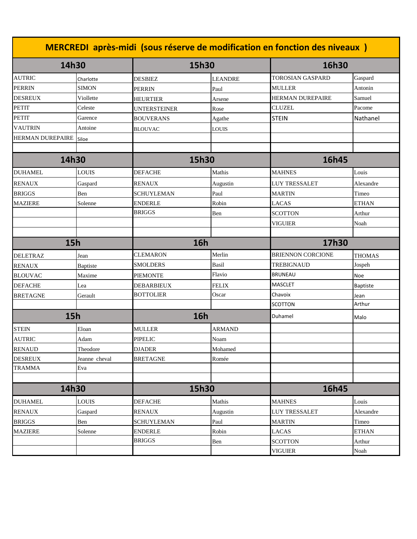| MERCREDI après-midi (sous réserve de modification en fonction des niveaux) |               |                     |                |                          |                 |  |  |
|----------------------------------------------------------------------------|---------------|---------------------|----------------|--------------------------|-----------------|--|--|
| 14h30                                                                      |               |                     | 15h30          |                          | 16h30           |  |  |
| <b>AUTRIC</b>                                                              | Charlotte     | DESBIEZ             | <b>LEANDRE</b> | <b>TOROSIAN GASPARD</b>  | Gaspard         |  |  |
| <b>PERRIN</b>                                                              | <b>SIMON</b>  | <b>PERRIN</b>       | Paul           | <b>MULLER</b>            | Antonin         |  |  |
| <b>DESREUX</b>                                                             | Viollette     | HEURTIER            | Arsene         | <b>HERMAN DUREPAIRE</b>  | Samuel          |  |  |
| <b>PETIT</b>                                                               | Celeste       | <b>UNTERSTEINER</b> | Rose           | <b>CLUZEL</b>            | Pacome          |  |  |
| <b>PETIT</b>                                                               | Garence       | <b>BOUVERANS</b>    | Agathe         | <b>STEIN</b>             | Nathanel        |  |  |
| <b>VAUTRIN</b>                                                             | Antoine       | <b>BLOUVAC</b>      | <b>LOUIS</b>   |                          |                 |  |  |
| <b>HERMAN DUREPAIRE</b> Siloe                                              |               |                     |                |                          |                 |  |  |
| 14h30                                                                      |               | 15h30               |                | 16h45                    |                 |  |  |
| <b>DUHAMEL</b>                                                             | LOUIS         | <b>DEFACHE</b>      | Mathis         | <b>MAHNES</b>            | Louis           |  |  |
|                                                                            |               |                     |                |                          |                 |  |  |
| <b>RENAUX</b>                                                              | Gaspard       | RENAUX              | Augustin       | <b>LUY TRESSALET</b>     | Alexandre       |  |  |
| <b>BRIGGS</b>                                                              | Ben           | SCHUYLEMAN          | Paul           | <b>MARTIN</b>            | Timeo           |  |  |
| <b>MAZIERE</b>                                                             | Solenne       | <b>ENDERLE</b>      | Robin          | <b>LACAS</b>             | <b>ETHAN</b>    |  |  |
|                                                                            |               | <b>BRIGGS</b>       | Ben            | <b>SCOTTON</b>           | Arthur          |  |  |
|                                                                            |               |                     |                | <b>VIGUIER</b>           | Noah            |  |  |
|                                                                            |               |                     |                |                          |                 |  |  |
| 15h                                                                        |               |                     | <b>16h</b>     |                          | 17h30           |  |  |
| <b>DELETRAZ</b>                                                            | Jean          | <b>CLEMARON</b>     | Merlin         | <b>BRIENNON CORCIONE</b> | <b>THOMAS</b>   |  |  |
| <b>RENAUX</b>                                                              | Baptiste      | <b>SMOLDERS</b>     | <b>Basil</b>   | TREBIGNAUD               | Jospeh          |  |  |
| <b>BLOUVAC</b>                                                             | Maxime        | <b>PIEMONTE</b>     | Flavio         | <b>BRUNEAU</b>           | <b>Noe</b>      |  |  |
| <b>DEFACHE</b>                                                             | Lea           | <b>DEBARBIEUX</b>   | <b>FELIX</b>   | <b>MASCLET</b>           | <b>Baptiste</b> |  |  |
| <b>BRETAGNE</b>                                                            | Gerault       | <b>BOTTOLIER</b>    | Oscar          | Chavoix                  | Jean            |  |  |
|                                                                            |               |                     |                | <b>SCOTTON</b>           | Arthur          |  |  |
| 15h                                                                        |               |                     | <b>16h</b>     | Duhamel                  | Malo            |  |  |
| <b>STEIN</b>                                                               | Eloan         | MULLER              | <b>ARMAND</b>  |                          |                 |  |  |
| <b>AUTRIC</b>                                                              | Adam          | <b>PIPELIC</b>      | Noam           |                          |                 |  |  |
| <b>RENAUD</b>                                                              | Theodore      | <b>DJADER</b>       | Mohamed        |                          |                 |  |  |
| <b>DESREUX</b>                                                             | Jeanne cheval | <b>BRETAGNE</b>     | Romée          |                          |                 |  |  |
| <b>TRAMMA</b>                                                              | Eva           |                     |                |                          |                 |  |  |
|                                                                            |               |                     |                |                          |                 |  |  |
| 14h30                                                                      |               | 15h30               |                | 16h45                    |                 |  |  |
| <b>DUHAMEL</b>                                                             | <b>LOUIS</b>  | DEFACHE             | Mathis         | <b>MAHNES</b>            | Louis           |  |  |
| <b>RENAUX</b>                                                              | Gaspard       | <b>RENAUX</b>       | Augustin       | LUY TRESSALET            | Alexandre       |  |  |
| <b>BRIGGS</b>                                                              | Ben           | <b>SCHUYLEMAN</b>   | Paul           | <b>MARTIN</b>            | Timeo           |  |  |
| <b>MAZIERE</b>                                                             | Solenne       | <b>ENDERLE</b>      | Robin          | <b>LACAS</b>             | <b>ETHAN</b>    |  |  |
|                                                                            |               | <b>BRIGGS</b>       | Ben            | <b>SCOTTON</b>           | Arthur          |  |  |
|                                                                            |               |                     |                | <b>VIGUIER</b>           | Noah            |  |  |